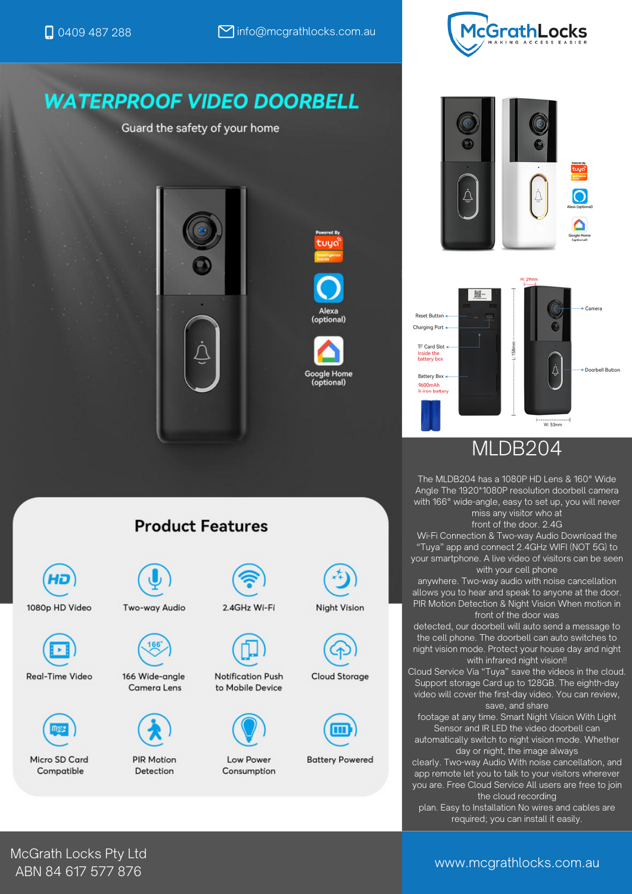# **WATERPROOF VIDEO DOORBELL**

Guard the safety of your home





tuua









## MLDB204

The MLDB204 has a 1080P HD Lens & 160° Wide Angle The 1920\*1080P resolution doorbell camera with 166° wide-angle, easy to set up, you will never miss any visitor who at

front of the door. 2.4G

Wi-Fi Connection & Two-way Audio Download the "Tuya" app and connect 2.4GHz WIFI (NOT 5G) to your smartphone. A live video of visitors can be seen with your cell phone

anywhere. Two-way audio with noise cancellation allows you to hear and speak to anyone at the door. PIR Motion Detection & Night Vision When motion in front of the door was

detected, our doorbell will auto send a message to the cell phone. The doorbell can auto switches to night vision mode. Protect your house day and night with infrared night vision!!

Cloud Service Via "Tuya" save the videos in the cloud. Support storage Card up to 128GB. The eighth-day video will cover the first-day video. You can review, save, and share

footage at any time. Smart Night Vision With Light Sensor and IR LED the video doorbell can automatically switch to night vision mode. Whether

day or night, the image always

clearly. Two-way Audio With noise cancellation, and app remote let you to talk to your visitors wherever you are. Free Cloud Service All users are free to join the cloud recording

plan. Easy to Installation No wires and cables are required; you can install it easily.

## **Product Features**





Real-Time Video





166 Wide-angle **Camera Lens** 



#### **PIR Motion** Detection



2.4GHz Wi-Fi



Notification Push to Mobile Device



Low Power Consumption



**Cloud Storage** 



**Battery Powered** 

McGrath Locks Pty Ltd ABN 84 617 577 876